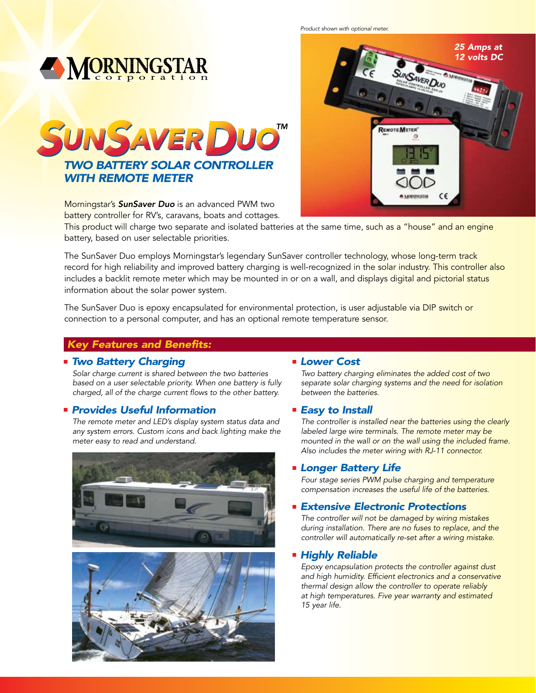**MORNINGSTAR** SUNSAVER DUO *Two Battery Solar Controller With Remote Meter*

> Morningstar's *SunSaver Duo* is an advanced PWM two battery controller for RV's, caravans, boats and cottages.

This product will charge two separate and isolated batteries at the same time, such as a "house" and an engine battery, based on user selectable priorities.

The SunSaver Duo employs Morningstar's legendary SunSaver controller technology, whose long-term track record for high reliability and improved battery charging is well-recognized in the solar industry. This controller also includes a backlit remote meter which may be mounted in or on a wall, and displays digital and pictorial status information about the solar power system.

The SunSaver Duo is epoxy encapsulated for environmental protection, is user adjustable via DIP switch or connection to a personal computer, and has an optional remote temperature sensor.

# *Key Features and Benefits:*

#### *Two Battery Charging*

*Solar charge current is shared between the two batteries based on a user selectable priority. When one battery is fully charged, all of the charge current flows to the other battery.* 

# *Provides Useful Information*

*The remote meter and LED's display system status data and any system errors. Custom icons and back lighting make the meter easy to read and understand.* 





#### *Lower Cost*

*Two battery charging eliminates the added cost of two separate solar charging systems and the need for isolation between the batteries.*

#### *Easy to Install*

*The controller is installed near the batteries using the clearly labeled large wire terminals. The remote meter may be mounted in the wall or on the wall using the included frame. Also includes the meter wiring with RJ-11 connector.*

#### *Longer Battery Life*

*Four stage series PWM pulse charging and temperature compensation increases the useful life of the batteries.* 

# *Extensive Electronic Protections*

*The controller will not be damaged by wiring mistakes during installation. There are no fuses to replace, and the controller will automatically re-set after a wiring mistake.*

# *Highly Reliable*

*Epoxy encapsulation protects the controller against dust and high humidity. Efficient electronics and a conservative thermal design allow the controller to operate reliably at high temperatures. Five year warranty and estimated 15 year life.*

*Product shown with optional meter.25 Amps at 12 volts DC* **AVER DUO** 

REMOTEMETER